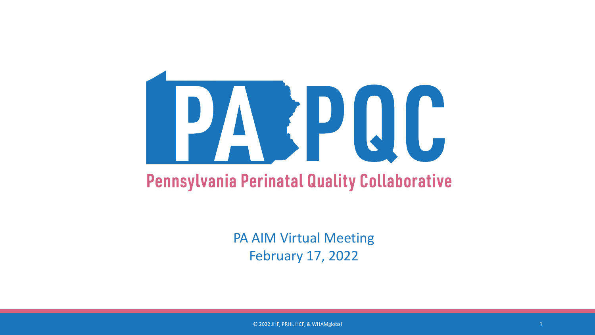

#### **Pennsylvania Perinatal Quality Collaborative**

PA AIM Virtual Meeting February 17, 2022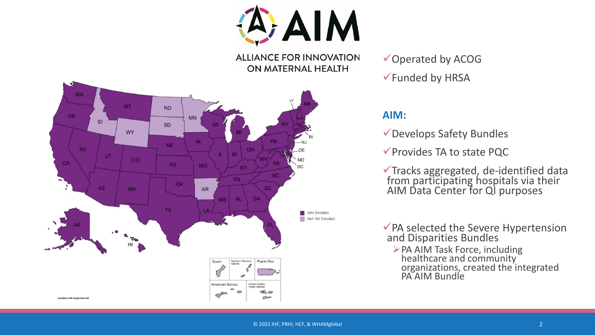A AIM

**ALLIANCE FOR INNOVATION** ON MATERNAL HEALTH



Operated by ACOG Funded by HRSA

#### **AIM:**

- Develops Safety Bundles
- $\checkmark$  Provides TA to state PQC

Tracks aggregated, de-identified data from participating hospitals via their AIM Data Center for QI purposes

◆ PA selected the Severe Hypertension and Disparities Bundles

PA AIM Task Force, including healthcare and community organizations, created the integrated PA AIM Bundle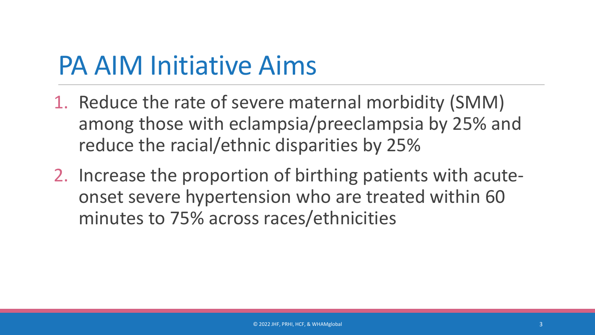### PA AIM Initiative Aims

- 1. Reduce the rate of severe maternal morbidity (SMM) among those with eclampsia/preeclampsia by 25% and reduce the racial/ethnic disparities by 25%
- 2. Increase the proportion of birthing patients with acuteonset severe hypertension who are treated within 60 minutes to 75% across races/ethnicities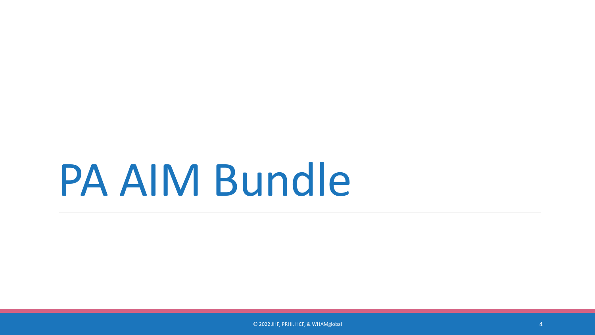## PA AIM Bundle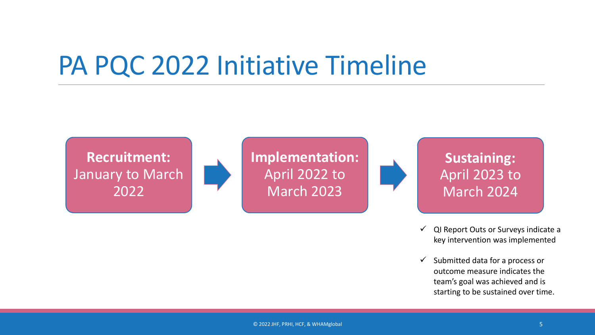#### PA PQC 2022 Initiative Timeline

**Recruitment:** January to March 2022

**Implementation:**  April 2022 to March 2023



**Sustaining:**  April 2023 to March 2024

- $\checkmark$  QI Report Outs or Surveys indicate a key intervention was implemented
- $\checkmark$  Submitted data for a process or outcome measure indicates the team's goal was achieved and is starting to be sustained over time.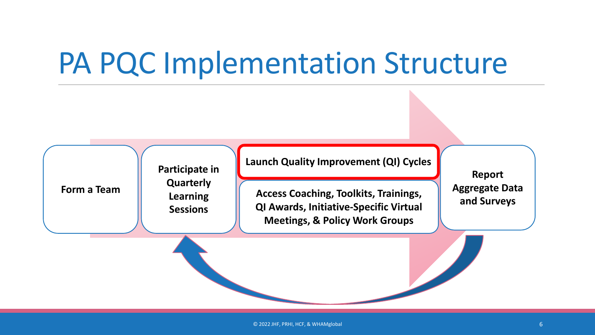## PA PQC Implementation Structure

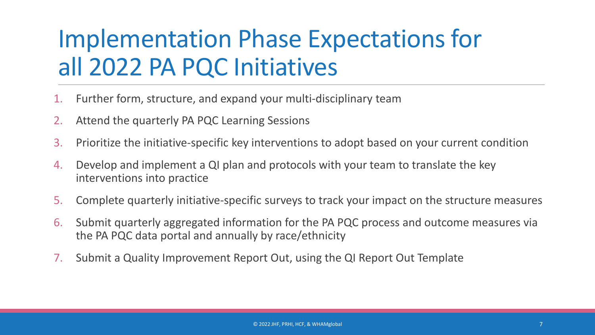#### Implementation Phase Expectations for all 2022 PA PQC Initiatives

- Further form, structure, and expand your multi-disciplinary team
- 2. Attend the quarterly PA PQC Learning Sessions
- 3. Prioritize the initiative-specific key interventions to adopt based on your current condition
- 4. Develop and implement a QI plan and protocols with your team to translate the key interventions into practice
- 5. Complete quarterly initiative-specific surveys to track your impact on the structure measures
- 6. Submit quarterly aggregated information for the PA PQC process and outcome measures via the PA PQC data portal and annually by race/ethnicity
- 7. Submit a Quality Improvement Report Out, using the QI Report Out Template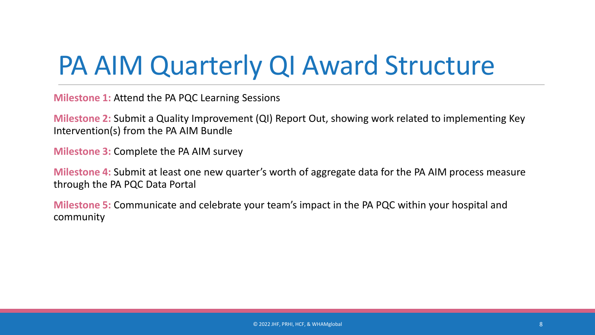### PA AIM Quarterly QI Award Structure

**Milestone 1:** Attend the PA PQC Learning Sessions

**Milestone 2:** Submit a Quality Improvement (QI) Report Out, showing work related to implementing Key Intervention(s) from the PA AIM Bundle

**Milestone 3:** Complete the PA AIM survey

**Milestone 4:** Submit at least one new quarter's worth of aggregate data for the PA AIM process measure through the PA PQC Data Portal

**Milestone 5:** Communicate and celebrate your team's impact in the PA PQC within your hospital and community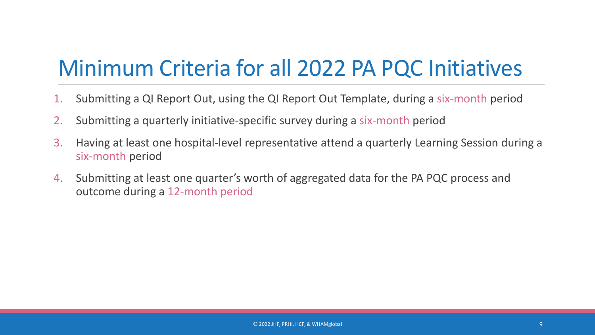#### Minimum Criteria for all 2022 PA PQC Initiatives

- 1. Submitting a QI Report Out, using the QI Report Out Template, during a six-month period
- 2. Submitting a quarterly initiative-specific survey during a six-month period
- 3. Having at least one hospital-level representative attend a quarterly Learning Session during a six-month period
- 4. Submitting at least one quarter's worth of aggregated data for the PA PQC process and outcome during a 12-month period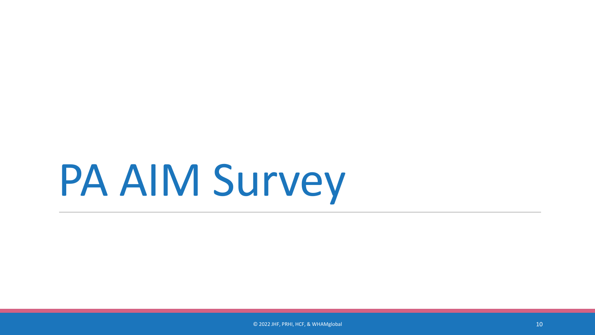## PA AIM Survey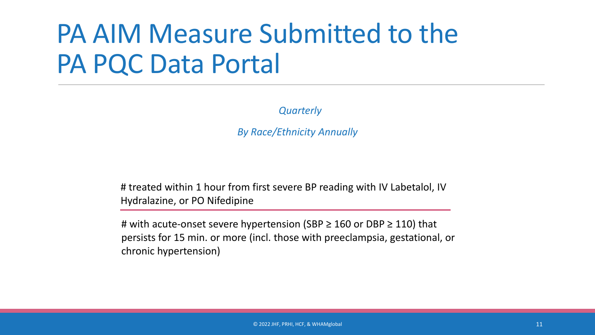### PA AIM Measure Submitted to the PA PQC Data Portal

*Quarterly*

*By Race/Ethnicity Annually* 

# treated within 1 hour from first severe BP reading with IV Labetalol, IV Hydralazine, or PO Nifedipine

# with acute-onset severe hypertension (SBP  $\geq$  160 or DBP  $\geq$  110) that persists for 15 min. or more (incl. those with preeclampsia, gestational, or chronic hypertension)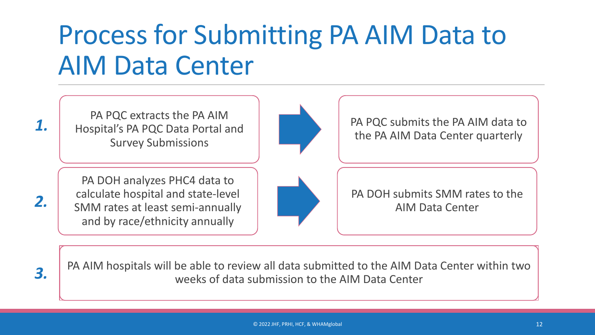### Process for Submitting PA AIM Data to AIM Data Center

PA PQC extracts the PA AIM Hospital's PA PQC Data Portal and Survey Submissions

*1.*

*2.*

*3.*



PA PQC submits the PA AIM data to the PA AIM Data Center quarterly

PA DOH analyzes PHC4 data to calculate hospital and state-level SMM rates at least semi-annually and by race/ethnicity annually



PA DOH submits SMM rates to the AIM Data Center

PA AIM hospitals will be able to review all data submitted to the AIM Data Center within two weeks of data submission to the AIM Data Center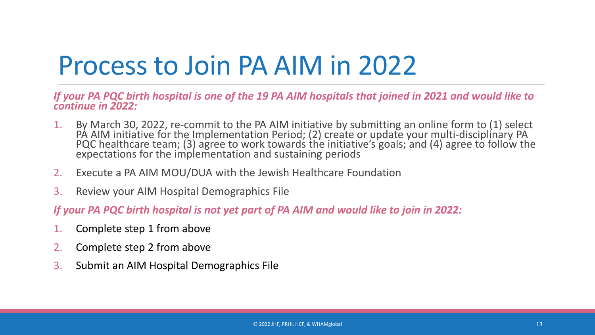### Process to Join PA AIM in 2022

*If your PA PQC birth hospital is one of the 19 PA AIM hospitals that joined in 2021 and would like to continue in 2022:*

- By March 30, 2022, re-commit to the PA AIM initiative by submitting an online form to (1) select<br>PA AIM initiative for the Implementation Period; (2) create or update your multi-disciplinary PA<br>PQC healthcare team; (3) agr expectations for the implementation and sustaining periods
- 2. Execute a PA AIM MOU/DUA with the Jewish Healthcare Foundation
- 3. Review your AIM Hospital Demographics File

*If your PA PQC birth hospital is not yet part of PA AIM and would like to join in 2022:*

- 1. Complete step 1 from above
- 2. Complete step 2 from above
- 3. Submit an AIM Hospital Demographics File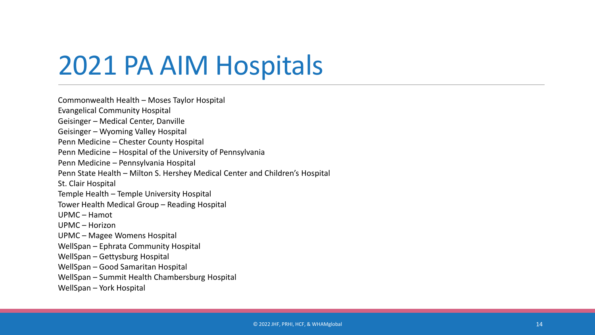### 2021 PA AIM Hospitals

Commonwealth Health – Moses Taylor Hospital Evangelical Community Hospital Geisinger – Medical Center, Danville Geisinger – Wyoming Valley Hospital Penn Medicine – Chester County Hospital Penn Medicine – Hospital of the University of Pennsylvania Penn Medicine – Pennsylvania Hospital Penn State Health - Milton S. Hershey Medical Center and Children's Hospital St. Clair Hospital Temple Health – Temple University Hospital Tower Health Medical Group – Reading Hospital UPMC – Hamot UPMC – Horizon UPMC – Magee Womens Hospital WellSpan – Ephrata Community Hospital WellSpan – Gettysburg Hospital WellSpan – Good Samaritan Hospital WellSpan – Summit Health Chambersburg Hospital WellSpan – York Hospital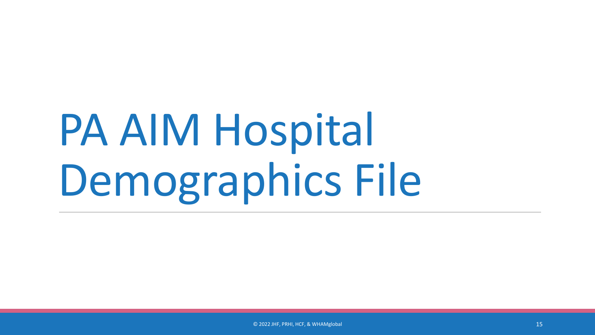# PA AIM Hospital Demographics File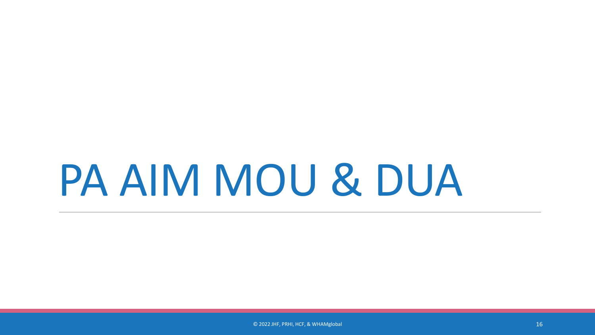## PA AIM MOU & DUA